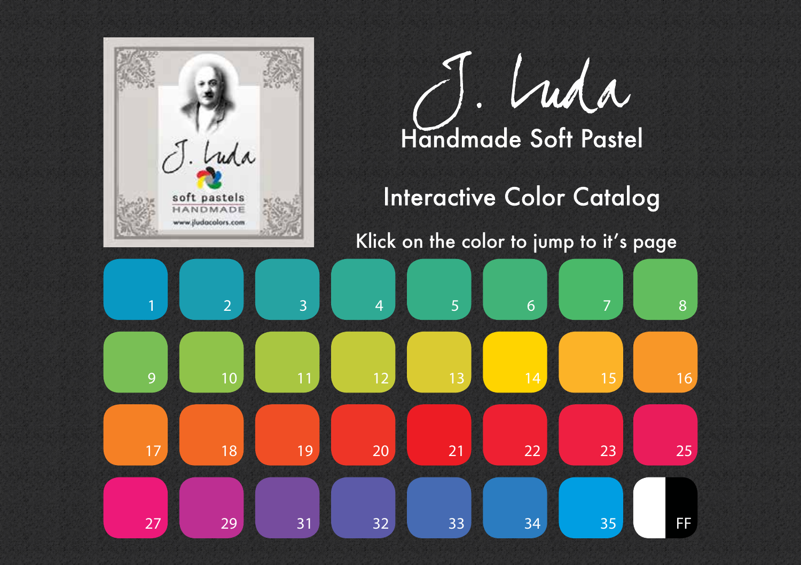<span id="page-0-0"></span>

Luda Handmade Soft Pastel **Interactive Color Catalog** Klick on the color to jump to it's page 

[FF](#page-32-0)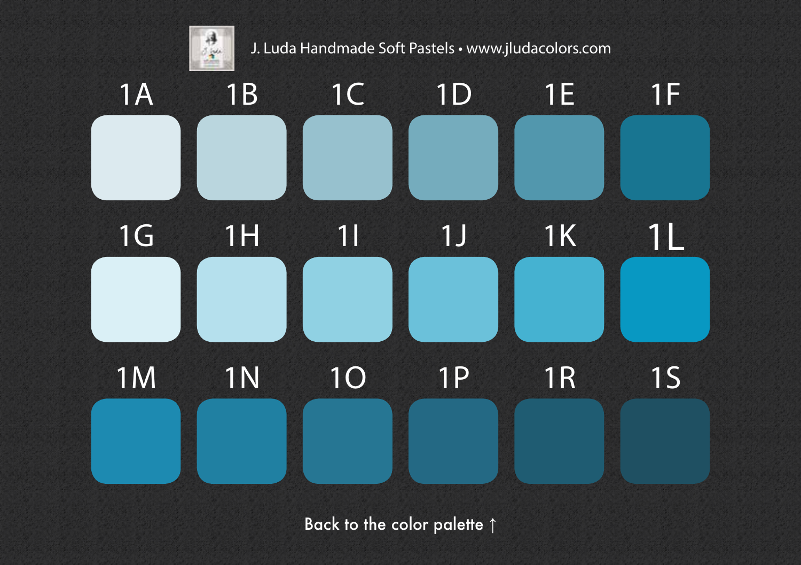<span id="page-1-0"></span>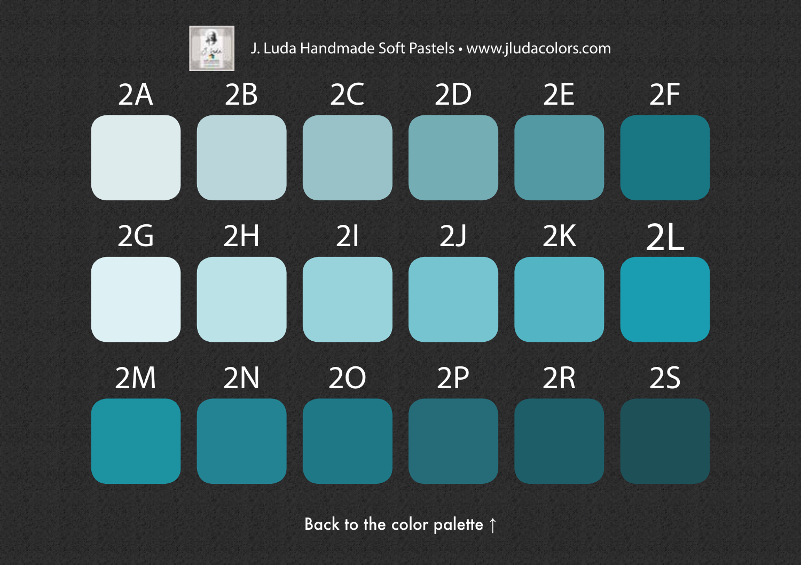<span id="page-2-0"></span>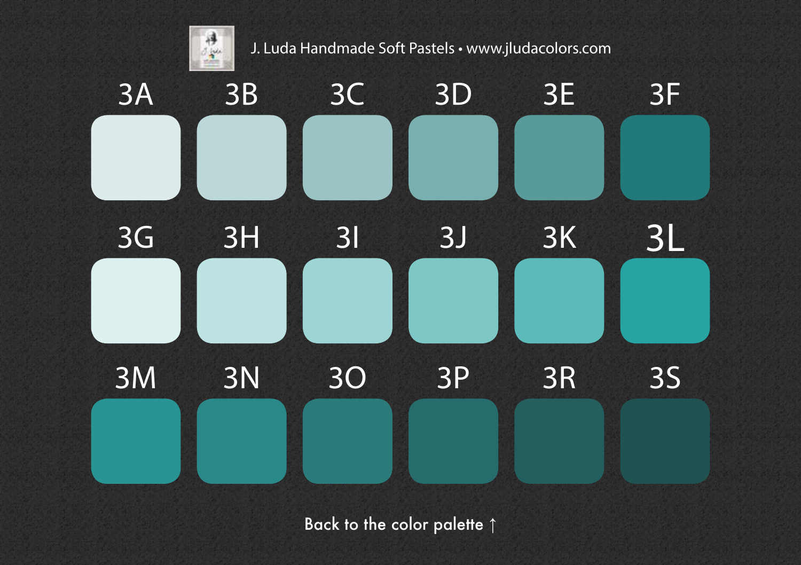<span id="page-3-0"></span>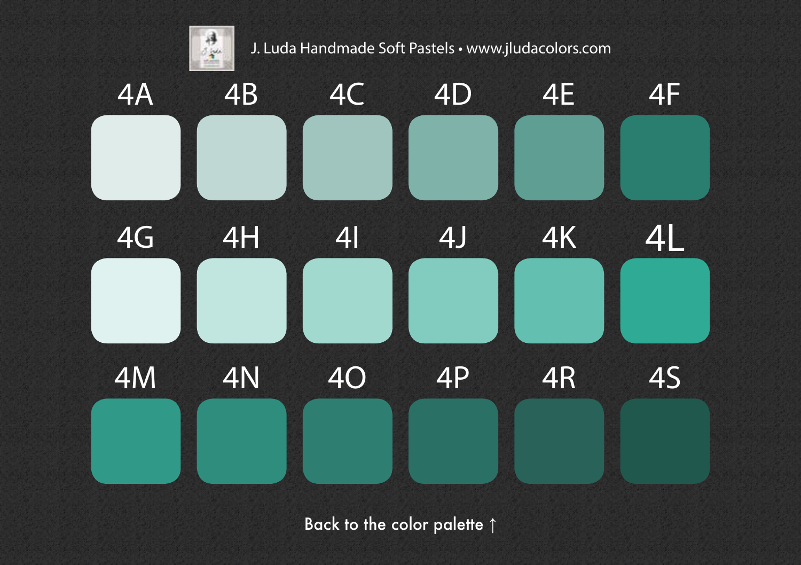<span id="page-4-0"></span>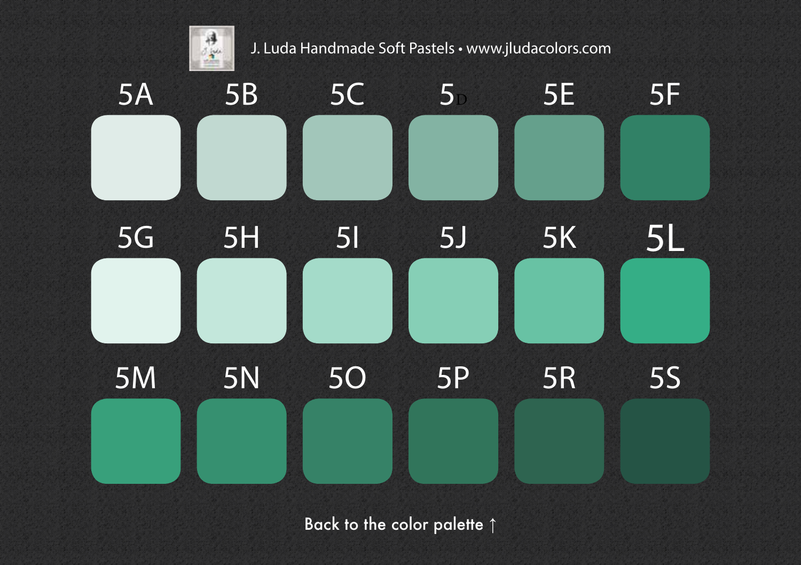<span id="page-5-0"></span>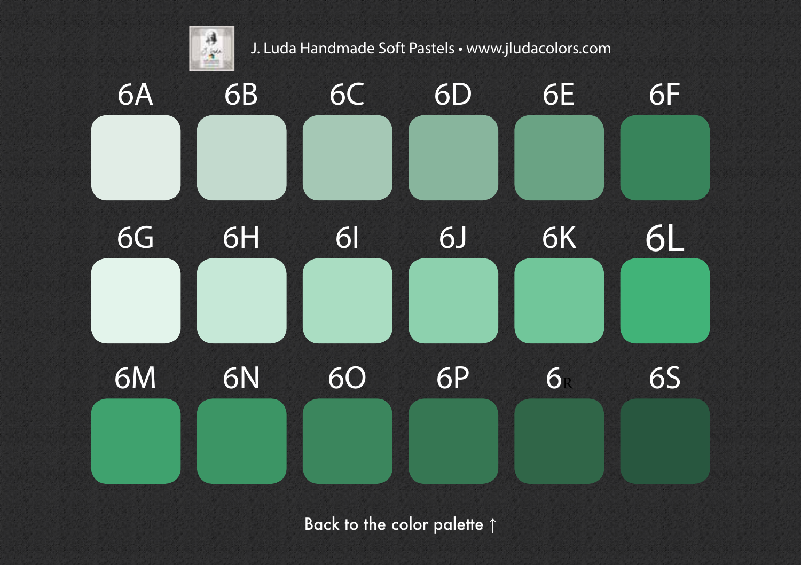<span id="page-6-0"></span>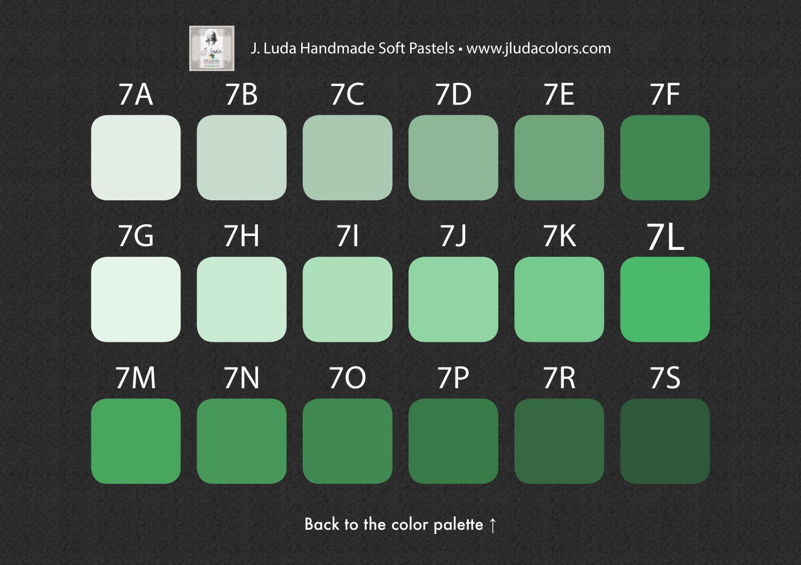<span id="page-7-0"></span>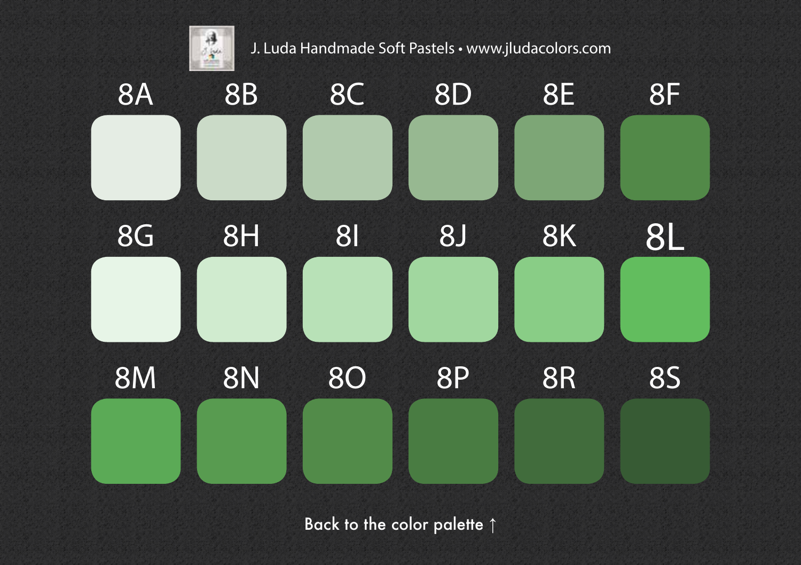<span id="page-8-0"></span>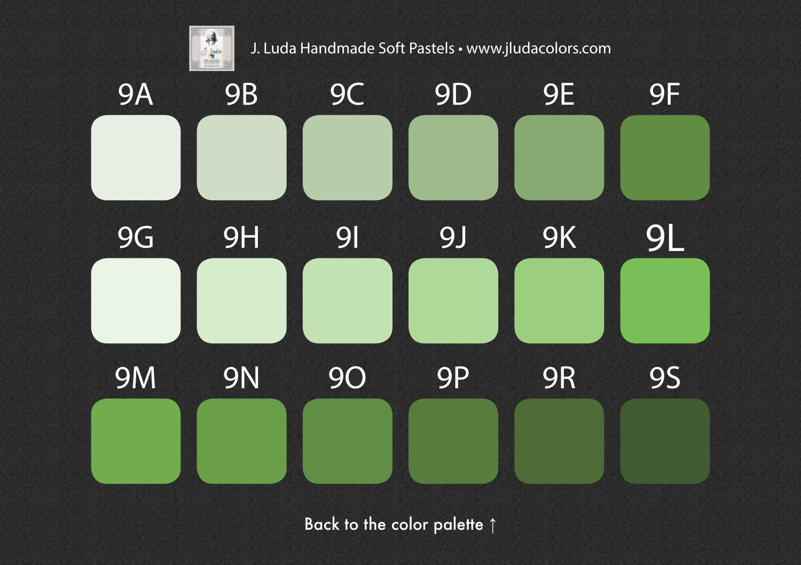<span id="page-9-0"></span>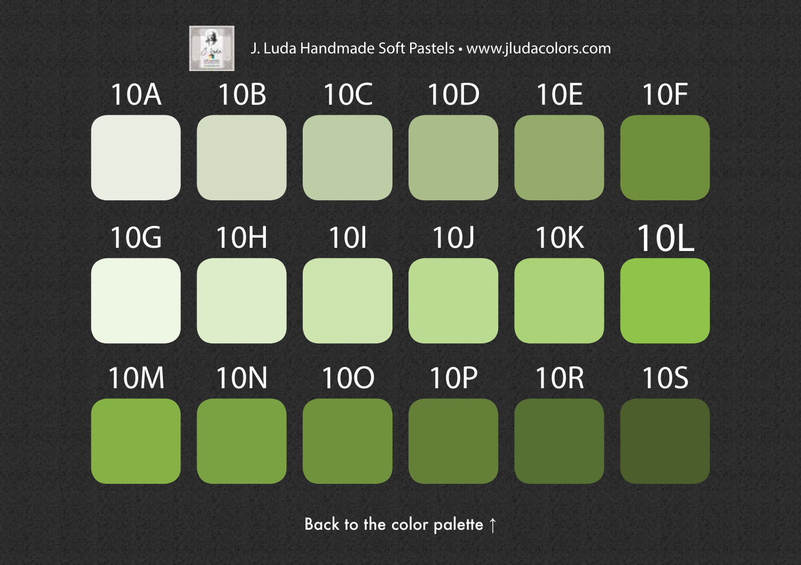<span id="page-10-0"></span>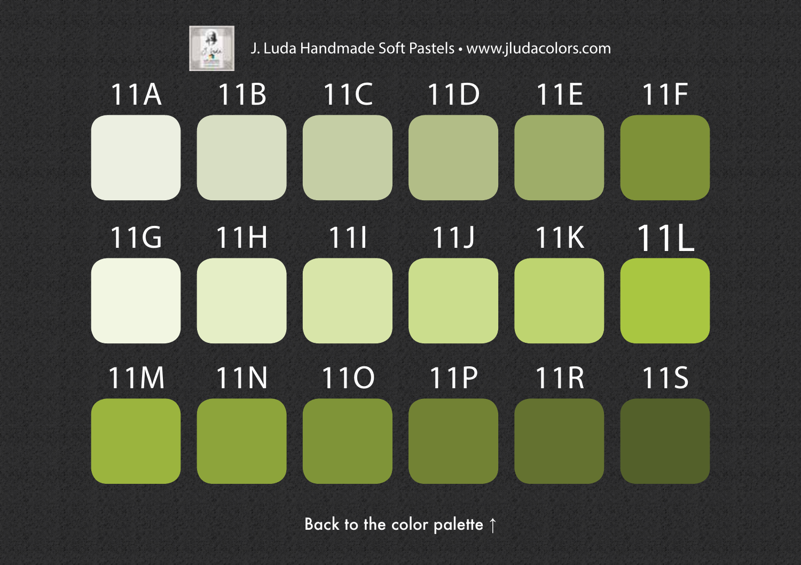<span id="page-11-0"></span>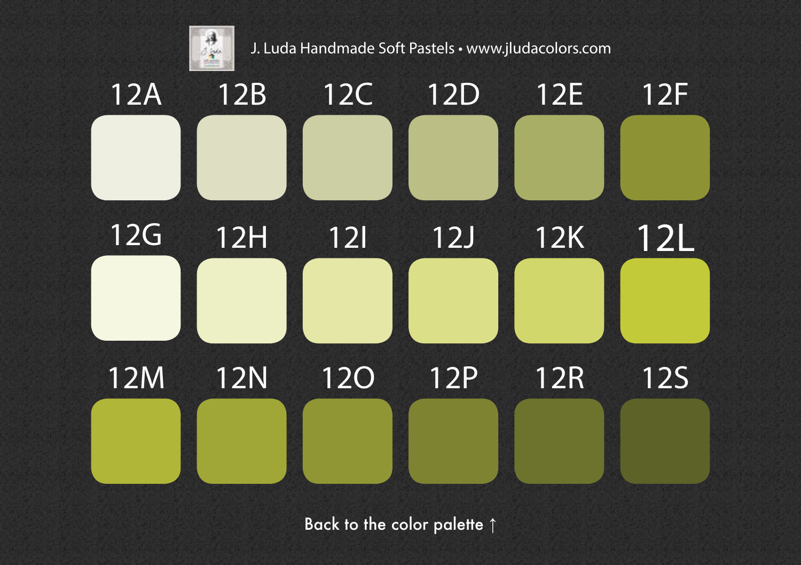<span id="page-12-0"></span>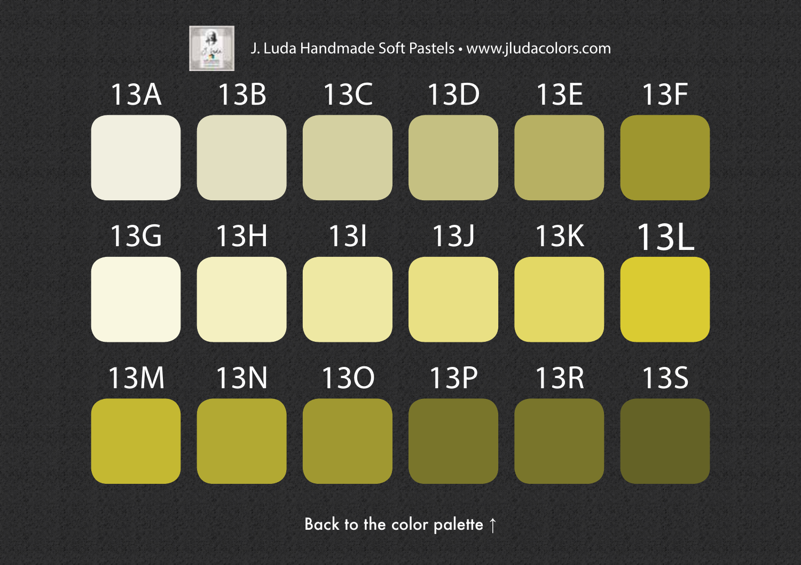<span id="page-13-0"></span>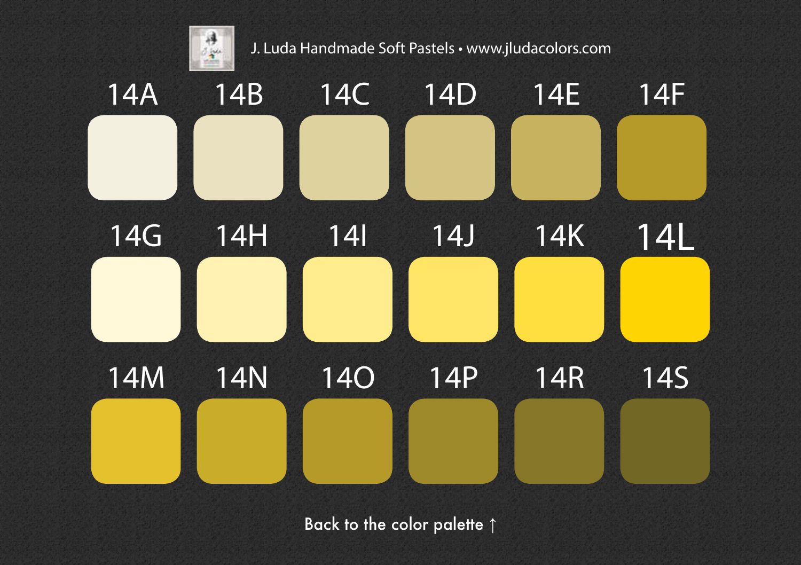<span id="page-14-0"></span>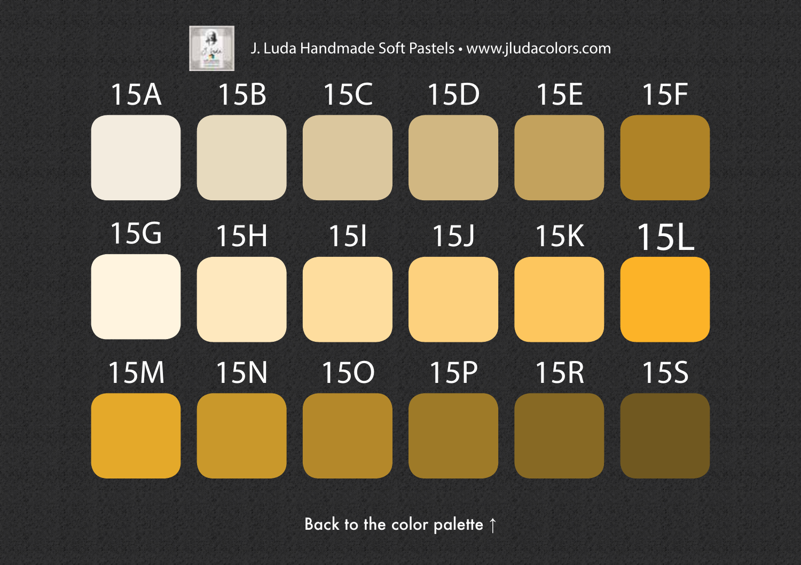<span id="page-15-0"></span>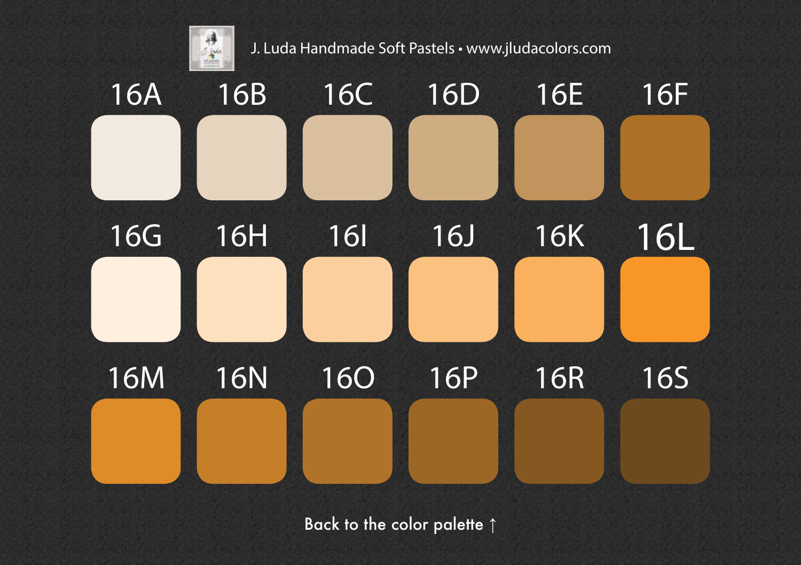<span id="page-16-0"></span>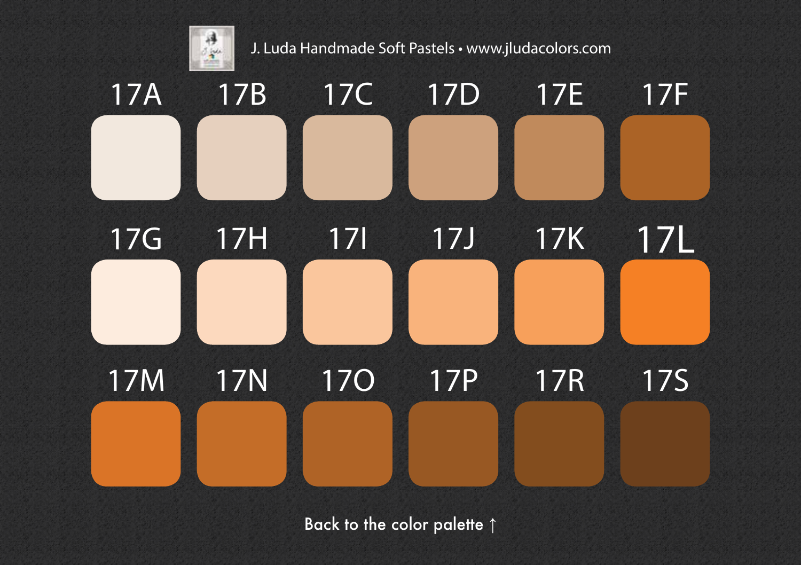<span id="page-17-0"></span>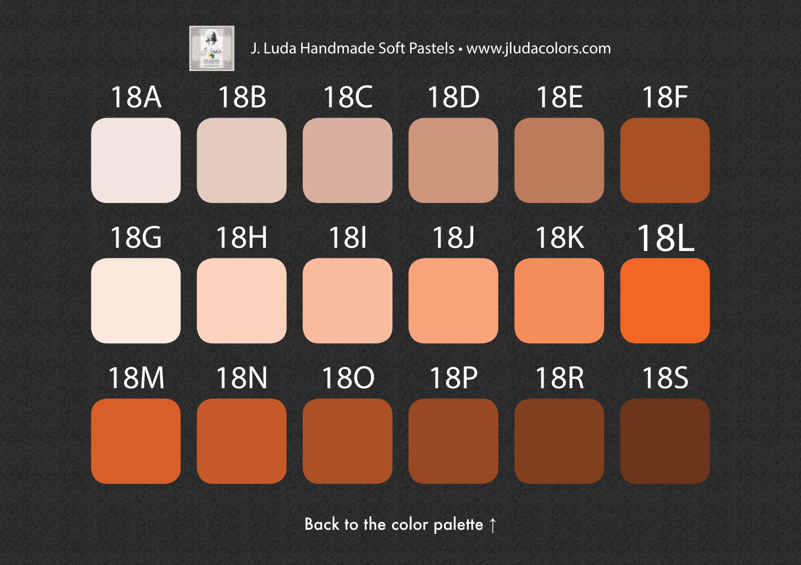<span id="page-18-0"></span>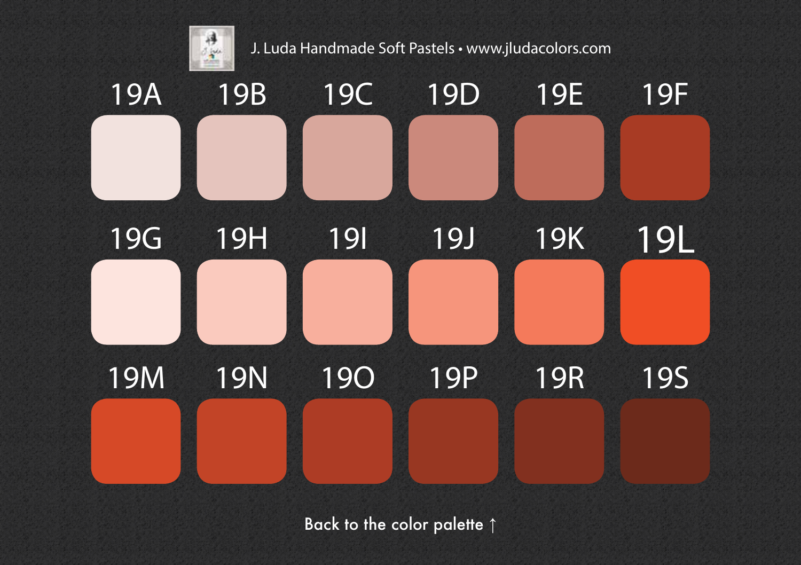<span id="page-19-0"></span>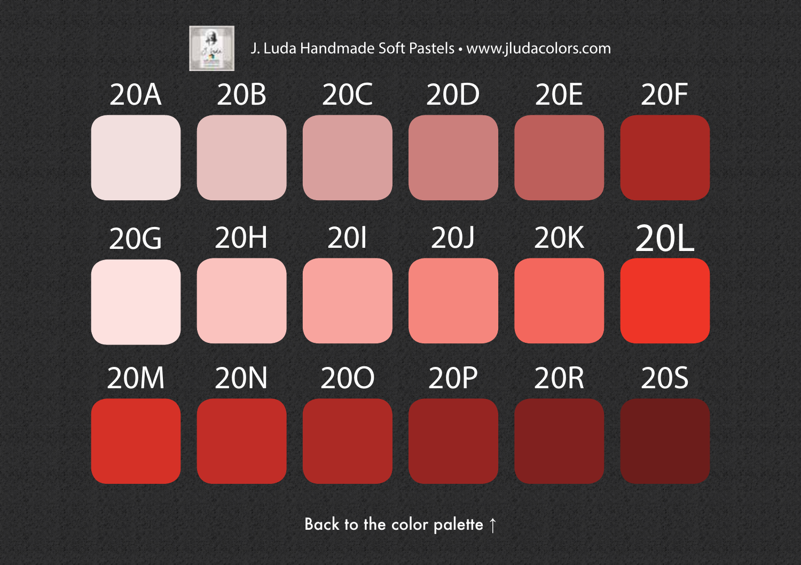<span id="page-20-0"></span>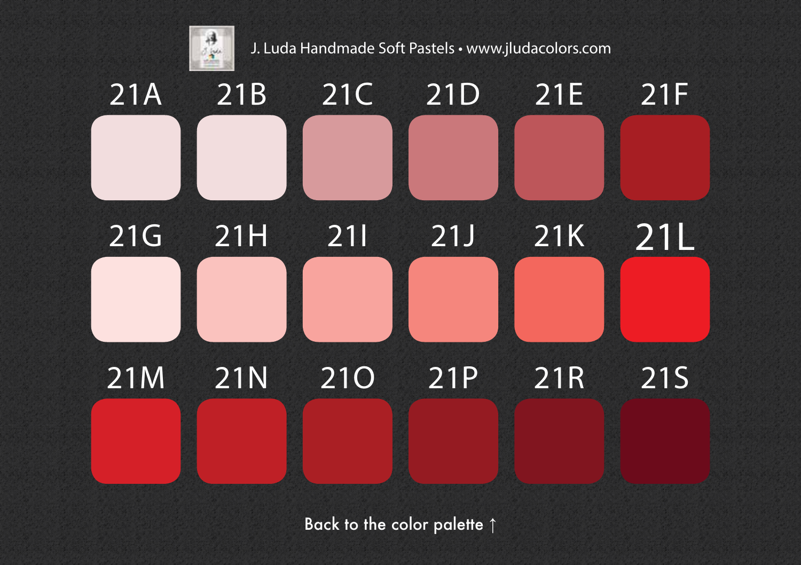<span id="page-21-0"></span>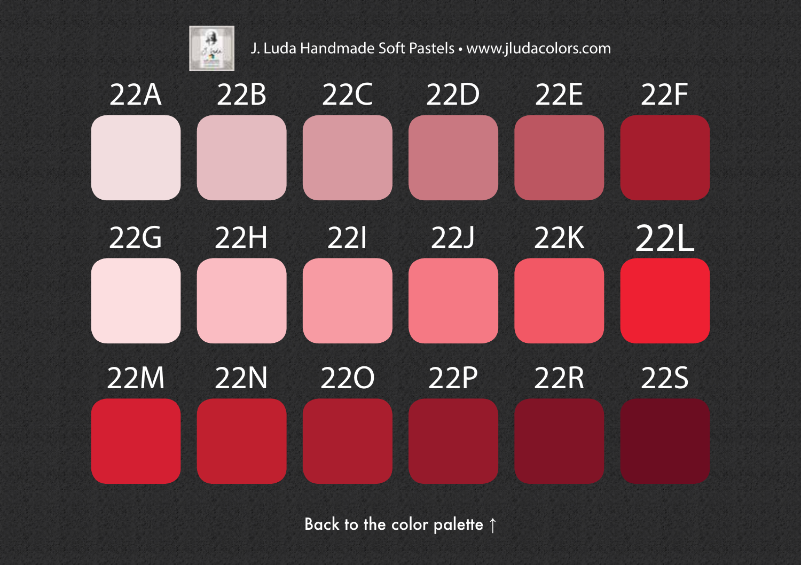<span id="page-22-0"></span>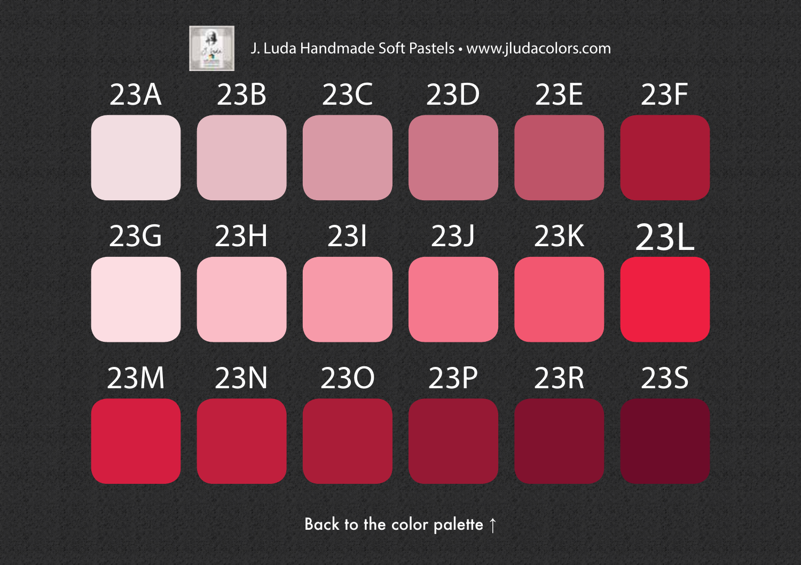<span id="page-23-0"></span>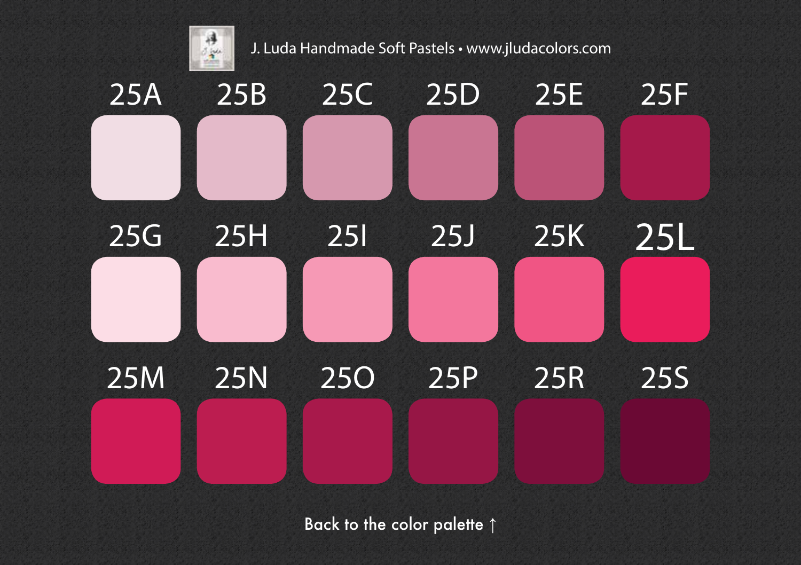<span id="page-24-0"></span>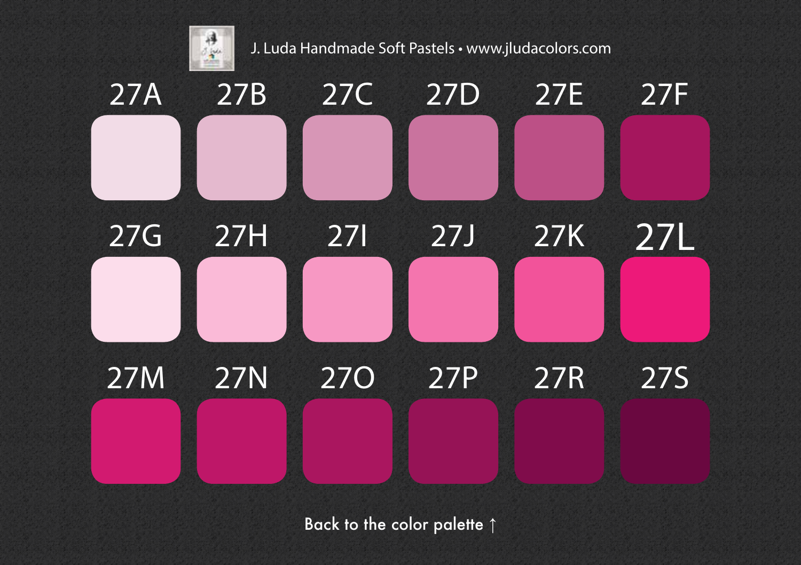<span id="page-25-0"></span>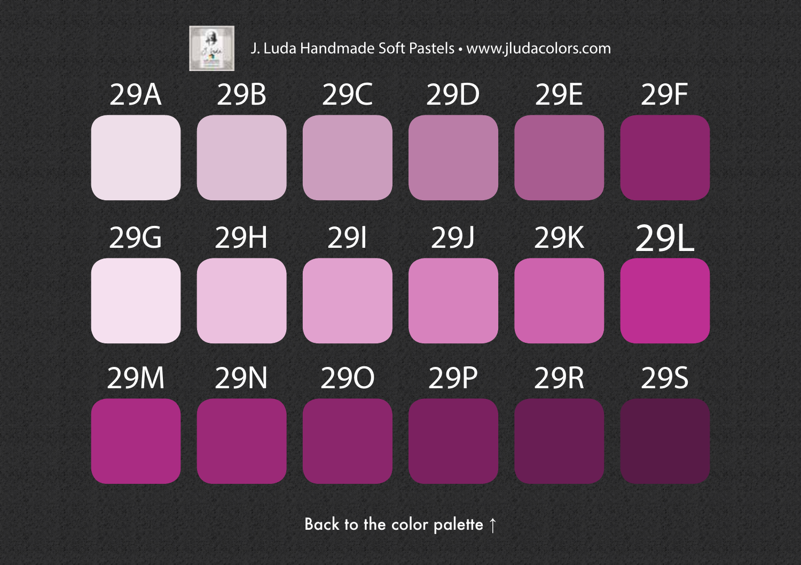<span id="page-26-0"></span>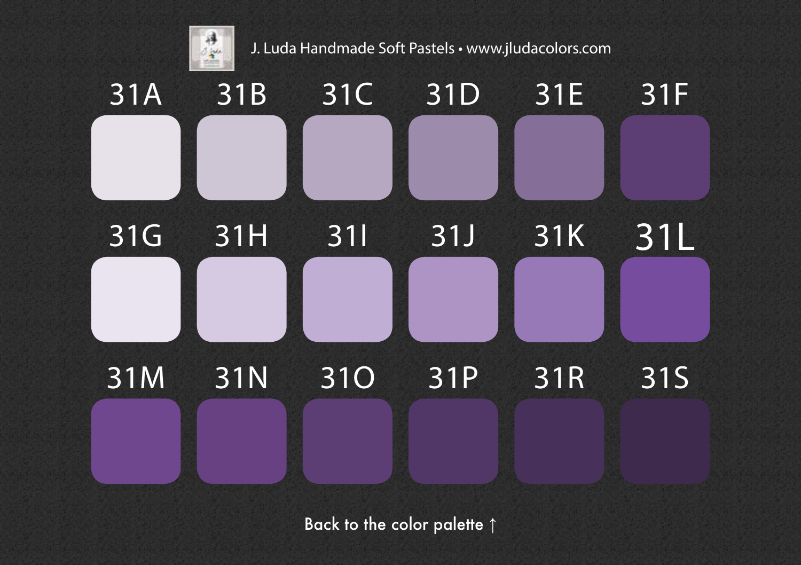<span id="page-27-0"></span>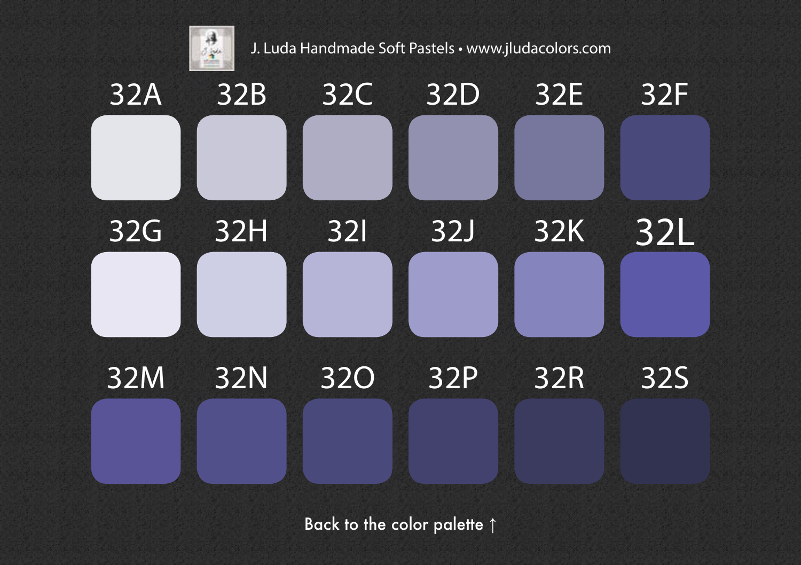<span id="page-28-0"></span>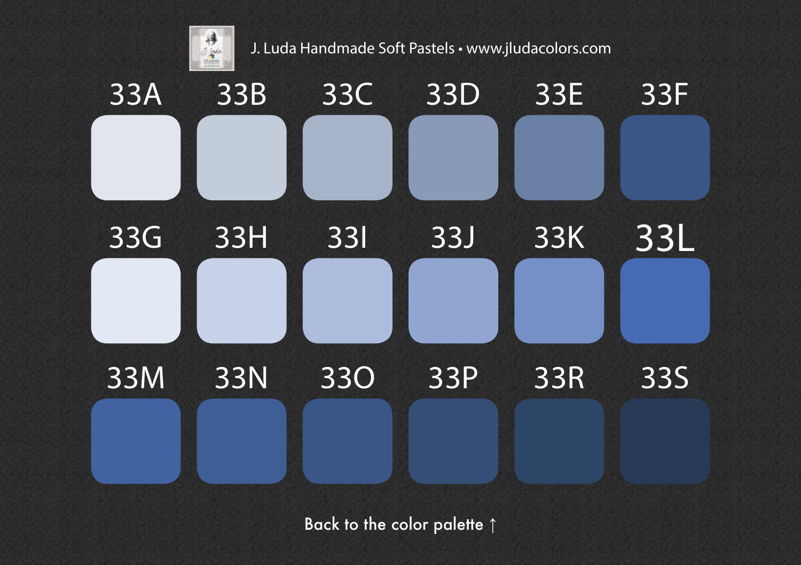<span id="page-29-0"></span>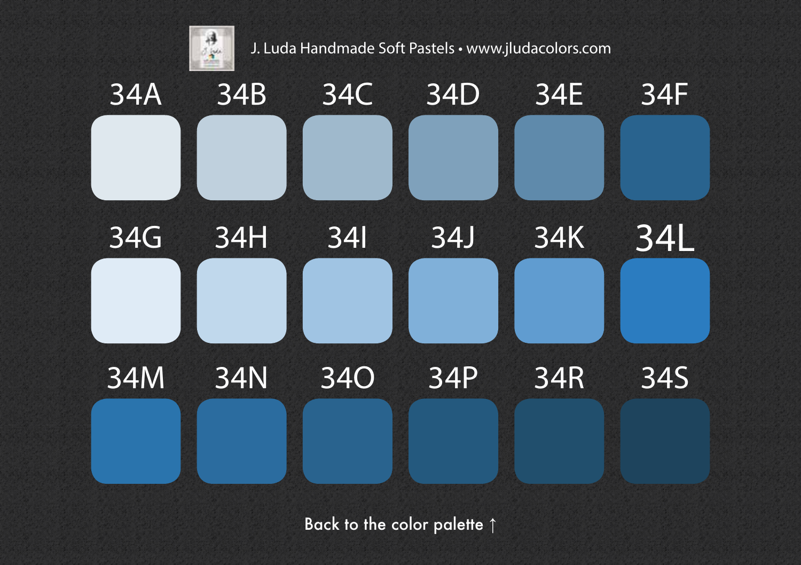<span id="page-30-0"></span>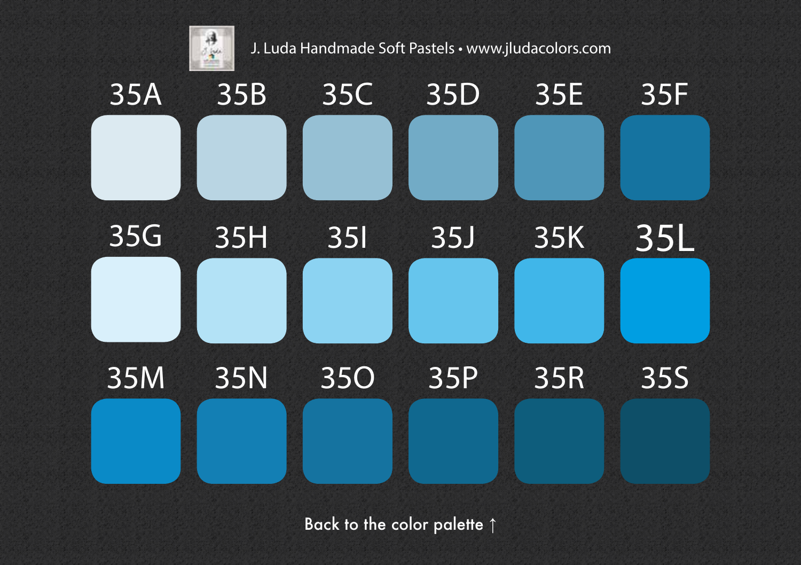<span id="page-31-0"></span>